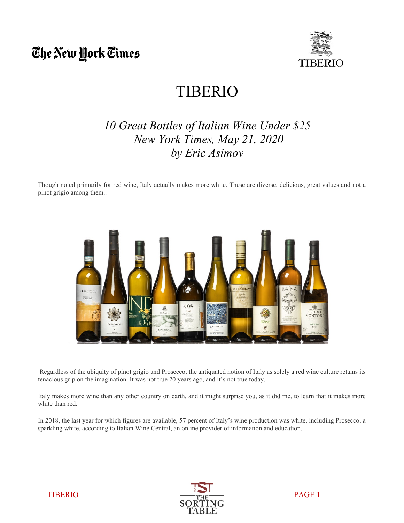## The New York Times



### TIBERIO

#### *10 Great Bottles of Italian Wine Under \$25 New York Times, May 21, 2020 by Eric Asimov*

Though noted primarily for red wine, Italy actually makes more white. These are diverse, delicious, great values and not a pinot grigio among them..



Regardless of the ubiquity of pinot grigio and Prosecco, the antiquated notion of Italy as solely a red wine culture retains its tenacious grip on the imagination. It was not true 20 years ago, and it's not true today.

Italy makes more wine than any other country on earth, and it might surprise you, as it did me, to learn that it makes more white than red.

In 2018, the last year for which figures are available, 57 percent of Italy's wine production was white, including Prosecco, a sparkling white, according to Italian Wine Central, an online provider of information and education.

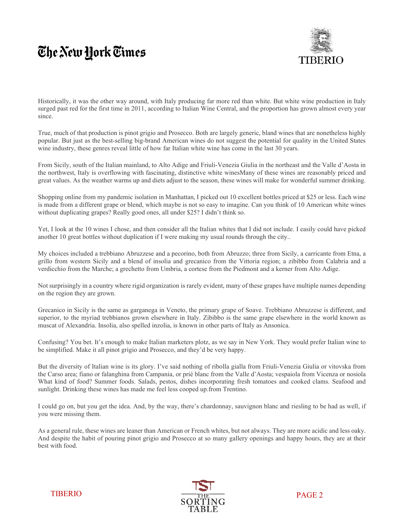# The New York Times



Historically, it was the other way around, with Italy producing far more red than white. But white wine production in Italy surged past red for the first time in 2011, according to Italian Wine Central, and the proportion has grown almost every year since.

True, much of that production is pinot grigio and Prosecco. Both are largely generic, bland wines that are nonetheless highly popular. But just as the best-selling big-brand American wines do not suggest the potential for quality in the United States wine industry, these genres reveal little of how far Italian white wine has come in the last 30 years.

From Sicily, south of the Italian mainland, to Alto Adige and Friuli-Venezia Giulia in the northeast and the Valle d'Aosta in the northwest, Italy is overflowing with fascinating, distinctive white winesMany of these wines are reasonably priced and great values. As the weather warms up and diets adjust to the season, these wines will make for wonderful summer drinking.

Shopping online from my pandemic isolation in Manhattan, I picked out 10 excellent bottles priced at \$25 or less. Each wine is made from a different grape or blend, which maybe is not so easy to imagine. Can you think of 10 American white wines without duplicating grapes? Really good ones, all under \$25? I didn't think so.

Yet, I look at the 10 wines I chose, and then consider all the Italian whites that I did not include. I easily could have picked another 10 great bottles without duplication if I were making my usual rounds through the city..

My choices included a trebbiano Abruzzese and a pecorino, both from Abruzzo; three from Sicily, a carricante from Etna, a grillo from western Sicily and a blend of insolia and grecanico from the Vittoria region; a zibibbo from Calabria and a verdicchio from the Marche; a grechetto from Umbria, a cortese from the Piedmont and a kerner from Alto Adige.

Not surprisingly in a country where rigid organization is rarely evident, many of these grapes have multiple names depending on the region they are grown.

Grecanico in Sicily is the same as garganega in Veneto, the primary grape of Soave. Trebbiano Abruzzese is different, and superior, to the myriad trebbianos grown elsewhere in Italy. Zibibbo is the same grape elsewhere in the world known as muscat of Alexandria. Insolia, also spelled inzolia, is known in other parts of Italy as Ansonica.

Confusing? You bet. It's enough to make Italian marketers plotz, as we say in New York. They would prefer Italian wine to be simplified. Make it all pinot grigio and Prosecco, and they'd be very happy.

But the diversity of Italian wine is its glory. I've said nothing of ribolla gialla from Friuli-Venezia Giulia or vitovska from the Carso area; fiano or falanghina from Campania, or prié blanc from the Valle d'Aosta; vespaiola from Vicenza or nosiola What kind of food? Summer foods. Salads, pestos, dishes incorporating fresh tomatoes and cooked clams. Seafood and sunlight. Drinking these wines has made me feel less cooped up.from Trentino.

I could go on, but you get the idea. And, by the way, there's chardonnay, sauvignon blanc and riesling to be had as well, if you were missing them.

As a general rule, these wines are leaner than American or French whites, but not always. They are more acidic and less oaky. And despite the habit of pouring pinot grigio and Prosecco at so many gallery openings and happy hours, they are at their best with food.